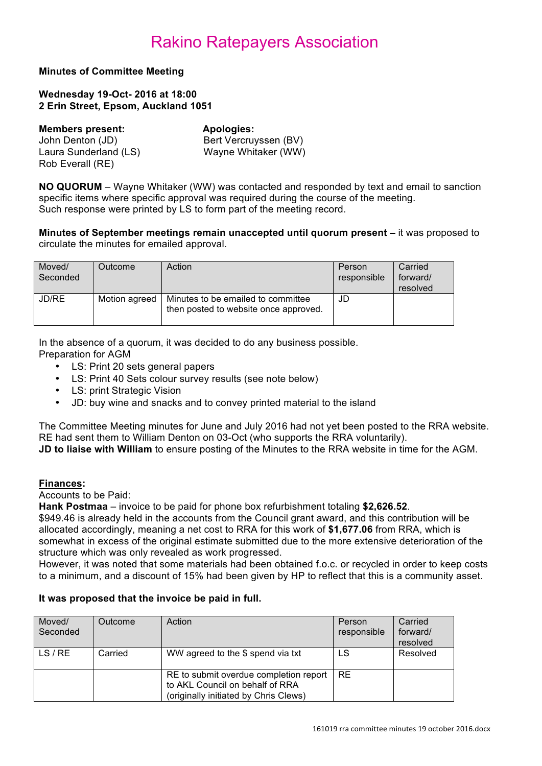**Minutes of Committee Meeting** 

**Wednesday 19-Oct- 2016 at 18:00 2 Erin Street, Epsom, Auckland 1051**

| <b>Members present:</b> | Apologies:            |
|-------------------------|-----------------------|
| John Denton (JD)        | Bert Vercruyssen (BV) |
| Laura Sunderland (LS)   | Wayne Whitaker (WW)   |
| Rob Everall (RE)        |                       |

**NO QUORUM** – Wayne Whitaker (WW) was contacted and responded by text and email to sanction specific items where specific approval was required during the course of the meeting. Such response were printed by LS to form part of the meeting record.

**Minutes of September meetings remain unaccepted until quorum present –** it was proposed to circulate the minutes for emailed approval.

| Moved/<br>Seconded | Outcome       | Action                                                                      | Person<br>responsible | Carried<br>forward/<br>resolved |
|--------------------|---------------|-----------------------------------------------------------------------------|-----------------------|---------------------------------|
| JD/RE              | Motion agreed | Minutes to be emailed to committee<br>then posted to website once approved. | JD                    |                                 |

In the absence of a quorum, it was decided to do any business possible.

Preparation for AGM

- LS: Print 20 sets general papers
- LS: Print 40 Sets colour survey results (see note below)
- LS: print Strategic Vision
- JD: buy wine and snacks and to convey printed material to the island

The Committee Meeting minutes for June and July 2016 had not yet been posted to the RRA website. RE had sent them to William Denton on 03-Oct (who supports the RRA voluntarily). **JD to liaise with William** to ensure posting of the Minutes to the RRA website in time for the AGM.

## **Finances:**

Accounts to be Paid:

**Hank Postmaa** – invoice to be paid for phone box refurbishment totaling **\$2,626.52**.

\$949.46 is already held in the accounts from the Council grant award, and this contribution will be allocated accordingly, meaning a net cost to RRA for this work of **\$1,677.06** from RRA, which is somewhat in excess of the original estimate submitted due to the more extensive deterioration of the structure which was only revealed as work progressed.

However, it was noted that some materials had been obtained f.o.c. or recycled in order to keep costs to a minimum, and a discount of 15% had been given by HP to reflect that this is a community asset.

## **It was proposed that the invoice be paid in full.**

| Moved/   | Outcome | Action                                                                                                             | Person      | Carried  |
|----------|---------|--------------------------------------------------------------------------------------------------------------------|-------------|----------|
| Seconded |         |                                                                                                                    | responsible | forward/ |
|          |         |                                                                                                                    |             | resolved |
| LS / RE  | Carried | WW agreed to the \$ spend via txt                                                                                  | LS          | Resolved |
|          |         | RE to submit overdue completion report<br>to AKL Council on behalf of RRA<br>(originally initiated by Chris Clews) | <b>RE</b>   |          |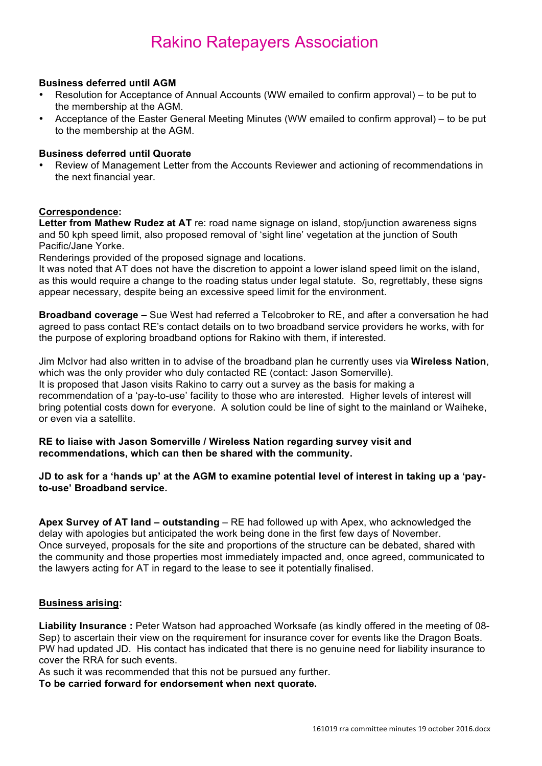#### **Business deferred until AGM**

- Resolution for Acceptance of Annual Accounts (WW emailed to confirm approval) to be put to the membership at the AGM.
- Acceptance of the Easter General Meeting Minutes (WW emailed to confirm approval) to be put to the membership at the AGM.

#### **Business deferred until Quorate**

• Review of Management Letter from the Accounts Reviewer and actioning of recommendations in the next financial year.

#### **Correspondence:**

**Letter from Mathew Rudez at AT** re: road name signage on island, stop/junction awareness signs and 50 kph speed limit, also proposed removal of 'sight line' vegetation at the junction of South Pacific/Jane Yorke.

Renderings provided of the proposed signage and locations.

It was noted that AT does not have the discretion to appoint a lower island speed limit on the island, as this would require a change to the roading status under legal statute. So, regrettably, these signs appear necessary, despite being an excessive speed limit for the environment.

**Broadband coverage –** Sue West had referred a Telcobroker to RE, and after a conversation he had agreed to pass contact RE's contact details on to two broadband service providers he works, with for the purpose of exploring broadband options for Rakino with them, if interested.

Jim McIvor had also written in to advise of the broadband plan he currently uses via **Wireless Nation**, which was the only provider who duly contacted RE (contact: Jason Somerville). It is proposed that Jason visits Rakino to carry out a survey as the basis for making a recommendation of a 'pay-to-use' facility to those who are interested. Higher levels of interest will bring potential costs down for everyone. A solution could be line of sight to the mainland or Waiheke, or even via a satellite.

#### **RE to liaise with Jason Somerville / Wireless Nation regarding survey visit and recommendations, which can then be shared with the community.**

#### **JD to ask for a 'hands up' at the AGM to examine potential level of interest in taking up a 'payto-use' Broadband service.**

**Apex Survey of AT land – outstanding** – RE had followed up with Apex, who acknowledged the delay with apologies but anticipated the work being done in the first few days of November. Once surveyed, proposals for the site and proportions of the structure can be debated, shared with the community and those properties most immediately impacted and, once agreed, communicated to the lawyers acting for AT in regard to the lease to see it potentially finalised.

#### **Business arising:**

**Liability Insurance :** Peter Watson had approached Worksafe (as kindly offered in the meeting of 08- Sep) to ascertain their view on the requirement for insurance cover for events like the Dragon Boats. PW had updated JD. His contact has indicated that there is no genuine need for liability insurance to cover the RRA for such events.

As such it was recommended that this not be pursued any further.

**To be carried forward for endorsement when next quorate.**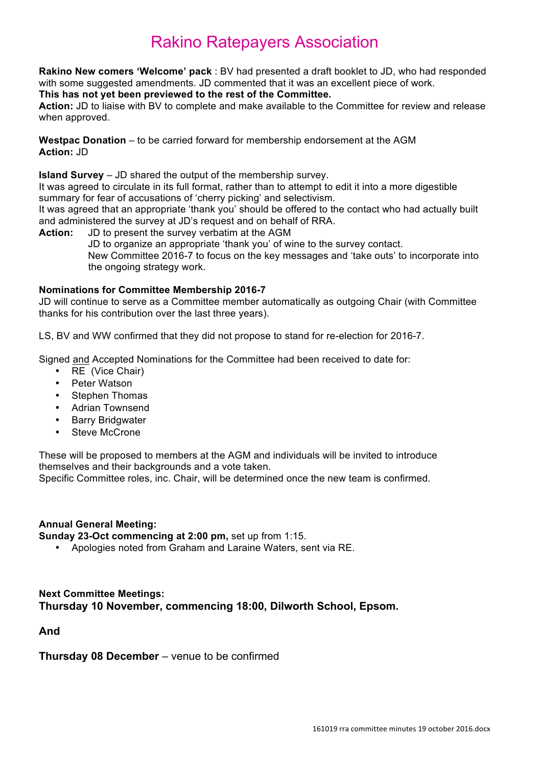**Rakino New comers 'Welcome' pack** : BV had presented a draft booklet to JD, who had responded with some suggested amendments. JD commented that it was an excellent piece of work.

## **This has not yet been previewed to the rest of the Committee.**

**Action:** JD to liaise with BV to complete and make available to the Committee for review and release when approved.

**Westpac Donation** – to be carried forward for membership endorsement at the AGM **Action:** JD

**Island Survey** – JD shared the output of the membership survey.

It was agreed to circulate in its full format, rather than to attempt to edit it into a more digestible summary for fear of accusations of 'cherry picking' and selectivism.

It was agreed that an appropriate 'thank you' should be offered to the contact who had actually built and administered the survey at JD's request and on behalf of RRA.

**Action:** JD to present the survey verbatim at the AGM JD to organize an appropriate 'thank you' of wine to the survey contact.

New Committee 2016-7 to focus on the key messages and 'take outs' to incorporate into the ongoing strategy work.

## **Nominations for Committee Membership 2016-7**

JD will continue to serve as a Committee member automatically as outgoing Chair (with Committee thanks for his contribution over the last three years).

LS, BV and WW confirmed that they did not propose to stand for re-election for 2016-7.

Signed and Accepted Nominations for the Committee had been received to date for:

- RE (Vice Chair)
- Peter Watson
- Stephen Thomas
- Adrian Townsend
- Barry Bridgwater
- Steve McCrone

These will be proposed to members at the AGM and individuals will be invited to introduce themselves and their backgrounds and a vote taken.

Specific Committee roles, inc. Chair, will be determined once the new team is confirmed.

## **Annual General Meeting:**

**Sunday 23-Oct commencing at 2:00 pm,** set up from 1:15.

• Apologies noted from Graham and Laraine Waters, sent via RE.

## **Next Committee Meetings: Thursday 10 November, commencing 18:00, Dilworth School, Epsom.**

**And** 

## **Thursday 08 December** – venue to be confirmed